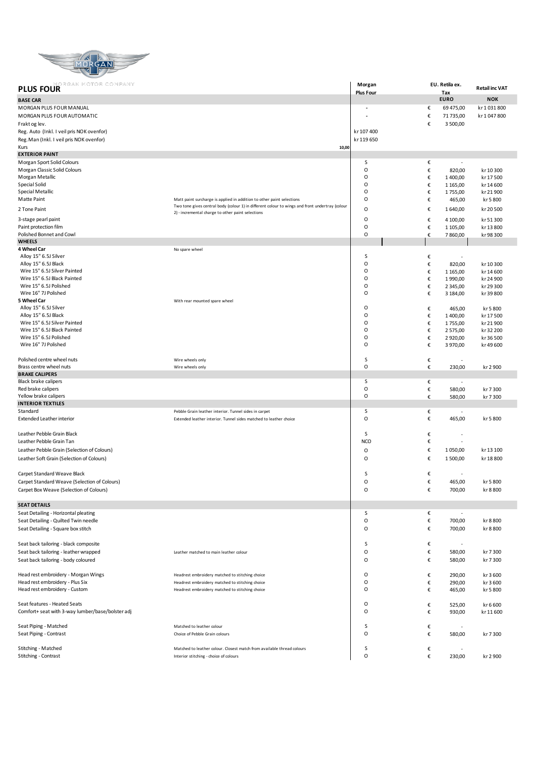

| gan motor company<br><b>PLUS FOUR</b>            |                                                                                                                                                                          | Morgan           |        | EU. Retila ex.           | <b>Retail inc VAT</b> |
|--------------------------------------------------|--------------------------------------------------------------------------------------------------------------------------------------------------------------------------|------------------|--------|--------------------------|-----------------------|
| <b>BASE CAR</b>                                  |                                                                                                                                                                          | <b>Plus Four</b> |        | Tax<br><b>EURO</b>       | <b>NOK</b>            |
| MORGAN PLUS FOUR MANUAL                          |                                                                                                                                                                          |                  | €      | 69 475,00                | kr 1031800            |
| MORGAN PLUS FOUR AUTOMATIC                       |                                                                                                                                                                          |                  | €      | 71 735,00                | kr 1047800            |
| Frakt og lev.                                    |                                                                                                                                                                          |                  | €      | 3 500,00                 |                       |
| Reg. Auto (Inkl. I veil pris NOK ovenfor)        |                                                                                                                                                                          | kr 107 400       |        |                          |                       |
| Reg. Man (Inkl. I veil pris NOK ovenfor)         |                                                                                                                                                                          | kr 119 650       |        |                          |                       |
| Kurs                                             | 10,00                                                                                                                                                                    |                  |        |                          |                       |
| <b>EXTERIOR PAINT</b>                            |                                                                                                                                                                          |                  |        |                          |                       |
| Morgan Sport Solid Colours                       |                                                                                                                                                                          | S                | €      | ٠                        |                       |
| Morgan Classic Solid Colours                     |                                                                                                                                                                          | O                | €      | 820,00                   | kr 10 300             |
| Morgan Metallic                                  |                                                                                                                                                                          | O                | €      | 1400,00                  | kr 17 500             |
| Special Solid                                    |                                                                                                                                                                          | O                | €      | 1 1 65,00                | kr 14 600             |
| Special Metallic                                 |                                                                                                                                                                          | O                | €      | 1755,00                  | kr 21 900             |
| Matte Paint                                      | Matt paint surcharge is applied in addition to other paint selections<br>Two tone gives central body (colour 1) in different colour to wings and front undertray (colour | O                | €      | 465,00                   | kr 5 800              |
| 2 Tone Paint                                     | 2) - incremental charge to other paint selections                                                                                                                        | $\mathsf O$      | €      | 1640,00                  | kr 20 500             |
| 3-stage pearl paint                              |                                                                                                                                                                          | O                | €      | 4 100,00                 | kr 51 300             |
| Paint protection film                            |                                                                                                                                                                          | O                | €      | 1 105,00                 | kr 13 800             |
| Polished Bonnet and Cowl                         |                                                                                                                                                                          | O                | €      | 7860,00                  | kr98300               |
| <b>WHEELS</b>                                    |                                                                                                                                                                          |                  |        |                          |                       |
| 4 Wheel Car                                      | No spare wheel                                                                                                                                                           | S                |        |                          |                       |
| Alloy 15" 6.5J Silver<br>Alloy 15" 6.5J Black    |                                                                                                                                                                          | O                | €<br>€ | ٠<br>820,00              | kr 10 300             |
| Wire 15" 6.5J Silver Painted                     |                                                                                                                                                                          | O                | €      | 1 1 65,00                | kr 14 600             |
| Wire 15" 6.5J Black Painted                      |                                                                                                                                                                          | O                | €      | 1990,00                  | kr 24 900             |
| Wire 15" 6.5J Polished                           |                                                                                                                                                                          | O                | €      | 2 3 4 5,00               | kr 29 300             |
| Wire 16" 7J Polished                             |                                                                                                                                                                          | $\mathsf O$      | €      | 3 184,00                 | kr 39 800             |
| 5 Wheel Car                                      | With rear mounted spare wheel                                                                                                                                            |                  |        |                          |                       |
| Alloy 15" 6.5J Silver                            |                                                                                                                                                                          | O                | €      | 465,00                   | kr 5 800              |
| Alloy 15" 6.5J Black                             |                                                                                                                                                                          | O                | €      | 1400,00                  | kr 17 500             |
| Wire 15" 6.5J Silver Painted                     |                                                                                                                                                                          | O                | €      | 1755,00                  | kr 21 900             |
| Wire 15" 6.5J Black Painted                      |                                                                                                                                                                          | O                | €      | 2 575,00                 | kr 32 200             |
| Wire 15" 6.5J Polished                           |                                                                                                                                                                          | O                | €      | 2920,00                  | kr36500               |
| Wire 16" 7J Polished                             |                                                                                                                                                                          | $\mathsf O$      | €      | 3970,00                  | kr 49 600             |
| Polished centre wheel nuts                       | Wire wheels only                                                                                                                                                         | S                | €      |                          |                       |
| Brass centre wheel nuts                          | Wire wheels only                                                                                                                                                         | O                | €      | 230,00                   | kr 2 900              |
| <b>BRAKE CALIPERS</b>                            |                                                                                                                                                                          |                  |        |                          |                       |
| Black brake calipers                             |                                                                                                                                                                          | S                | €      |                          |                       |
| Red brake calipers                               |                                                                                                                                                                          | O                | €      | 580,00                   | kr 7 300              |
| Yellow brake calipers                            |                                                                                                                                                                          | O                | €      | 580,00                   | kr 7 300              |
| <b>INTERIOR TEXTILES</b>                         |                                                                                                                                                                          |                  |        |                          |                       |
| Standard                                         | Pebble Grain leather interior. Tunnel sides in carpet                                                                                                                    | S                | €      |                          |                       |
| <b>Extended Leather interior</b>                 | Extended leather interior. Tunnel sides matched to leather choice                                                                                                        | O                | €      | 465,00                   | kr 5 800              |
| Leather Pebble Grain Black                       |                                                                                                                                                                          | S                |        |                          |                       |
| Leather Pebble Grain Tan                         |                                                                                                                                                                          | <b>NCO</b>       | €<br>€ | $\overline{\phantom{a}}$ |                       |
| Leather Pebble Grain (Selection of Colours)      |                                                                                                                                                                          |                  | €      |                          |                       |
|                                                  |                                                                                                                                                                          | O                |        | 1050,00                  | kr 13 100             |
| Leather Soft Grain (Selection of Colours)        |                                                                                                                                                                          | O                | €      | 1 500,00                 | kr 18 800             |
| Carpet Standard Weave Black                      |                                                                                                                                                                          | S                | €      |                          |                       |
| Carpet Standard Weave (Selection of Colours)     |                                                                                                                                                                          | $\circ$          | €      | 465,00                   | kr 5800               |
| Carpet Box Weave (Selection of Colours)          |                                                                                                                                                                          | O                | €      | 700,00                   | kr 8 800              |
|                                                  |                                                                                                                                                                          |                  |        |                          |                       |
| <b>SEAT DETAILS</b>                              |                                                                                                                                                                          |                  |        |                          |                       |
| Seat Detailing - Horizontal pleating             |                                                                                                                                                                          | S                | €      | $\sim$                   |                       |
| Seat Detailing - Quilted Twin needle             |                                                                                                                                                                          | O                | €      | 700,00                   | kr 8 800              |
| Seat Detailing - Square box stitch               |                                                                                                                                                                          | O                | €      | 700,00                   | kr 8 800              |
|                                                  |                                                                                                                                                                          |                  |        |                          |                       |
| Seat back tailoring - black composite            |                                                                                                                                                                          | s                | €      | $\overline{\phantom{a}}$ |                       |
| Seat back tailoring - leather wrapped            | Leather matched to main leather colour                                                                                                                                   | O                | €      | 580,00                   | kr 7 300              |
| Seat back tailoring - body coloured              |                                                                                                                                                                          | O                | €      | 580,00                   | kr 7 300              |
|                                                  |                                                                                                                                                                          |                  |        |                          |                       |
| Head rest embroidery - Morgan Wings              | Headrest embroidery matched to stitching choice                                                                                                                          | O                | €      | 290,00                   | kr 3 600              |
| Head rest embroidery - Plus Six                  | Headrest embroidery matched to stitching choice                                                                                                                          | O                | €      | 290,00                   | kr 3600               |
| Head rest embroidery - Custom                    | Headrest embroidery matched to stitching choice                                                                                                                          | 0                | €      | 465,00                   | kr 5 800              |
| Seat features - Heated Seats                     |                                                                                                                                                                          | O                | €      |                          |                       |
| Comfort+ seat with 3-way lumber/base/bolster adj |                                                                                                                                                                          | O                | €      | 525,00<br>930,00         | kr 6 600<br>kr 11 600 |
|                                                  |                                                                                                                                                                          |                  |        |                          |                       |
| Seat Piping - Matched                            | Matched to leather colour                                                                                                                                                | S                | €      |                          |                       |
| Seat Piping - Contrast                           | Choice of Pebble Grain colours                                                                                                                                           | 0                | €      | 580,00                   | kr 7 300              |
|                                                  |                                                                                                                                                                          |                  |        |                          |                       |
| Stitching - Matched                              | Matched to leather colour. Closest match from available thread colours                                                                                                   | s                | €      |                          |                       |
| Stitching - Contrast                             | Interior stitching - choice of colours                                                                                                                                   | O                | €      | 230,00                   | kr 2 900              |